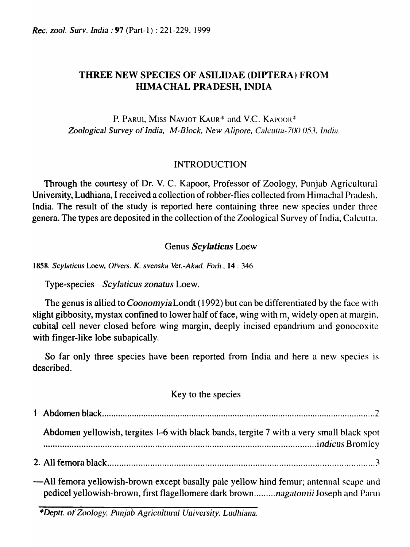# **THREE NEW SPECIES OF ASILIDAE (DIPTERA) FROM** HIMACHAL PRADESH, INDIA

P. PARUI, MISS NAVIOT KAUR\* and V.C. KAPOOR\* Zoological Survey of India, M-Block, New Alipore, Calcutta-700 053, India.

## **INTRODUCTION**

Through the courtesy of Dr. V. C. Kapoor, Professor of Zoology, Punjab Agricultural University, Ludhiana, I received a collection of robber-flies collected from Himachal Pradesh, India. The result of the study is reported here containing three new species under three genera. The types are deposited in the collection of the Zoological Survey of India, Calcutta.

## Genus Scylaticus Loew

1858. Scylaticus Loew, Ofvers. K. svenska Vet.-Akad. Forh., 14: 346.

Type-species Scylaticus zonatus Loew.

The genus is allied to *Coonomyia* Londt (1992) but can be differentiated by the face with slight gibbosity, mystax confined to lower half of face, wing with m, widely open at margin, cubital cell never closed before wing margin, deeply incised epandrium and gonocoxite with finger-like lobe subapically.

So far only three species have been reported from India and here a new species is described.

## Key to the species

| Abdomen yellowish, tergites 1-6 with black bands, tergite 7 with a very small black spot |
|------------------------------------------------------------------------------------------|
|                                                                                          |
| -All femora yellowish-brown except basally pale yellow hind femur; antennal scape and    |

pedicel yellowish-brown, first flagellomere dark brown..........*nagatomii* Joseph and Parui

\*Deptt. of Zoology, Punjab Agricultural University, Ludhiana.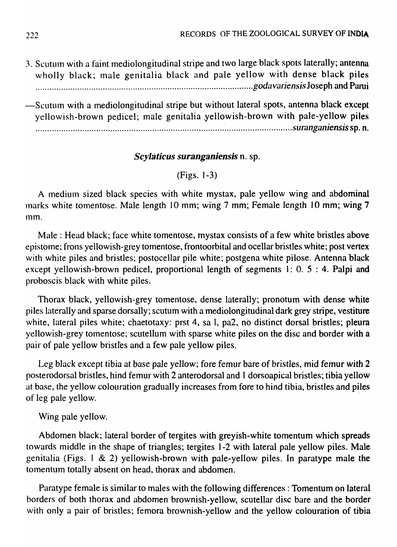3. Scutum with a faint mediolongitudinal stripe and two large black spots laterally; antenna wholly black; male genitalia black and pale yellow with dense black piles .............................................................................................. godCl *v,Jriensis* Joseph and Pa'l,i

-Scutum with a mediolongitudinal stripe but without lateral spots, antenna black except<br>yellowish-brown pedicel; male genitalia yellowish-brown with pale-yellow piles yellowish-brown pedicel; male genitalia .yellowish-brown with pale-yellow piles . . . ................................. ............................................................................ *. slll'lnganlensls* sp. n.

### *Scylaticus suranganiensis* n. sp.

### (Figs. 1-3)

A medium sized black species with white mystax, pale yellow wing and abdominal marks white tomentose. Male length 10 mm; wing 7 mm; Female length 10 mm; wing 7 Inm.

Male: Head black; face white tomentose, mystax consists of a few white bristles above epistome; frons yellowish-grey tomentose, frontoorbital and ocellar bristles white; post vertex with white piles and bristles; postocellar pile white; postgena white pilose. Antenna black except yellowish-brown pedicel, proportional length of segments I: O. 5 : 4. Palpi and proboscis black with white piles.

Thorax black, yellowish-grey tomentose, dense laterally; pronotum with dense white piles laterally and sparse dorsally; scutum with a mediolongitudinal dark grey stripe, vestiture white, lateral piles white; chaetotaxy: prst 4, sa 1, pa2, no distinct dorsal bristles; pleura yellowish-grey tomentose; scutellum with sparse white piles on the disc and border with a pair of pale yellow bristl'es and a few pale yellow piles.

Leg black except *tibia at* base pale yellow; fore femur bare of bristles, mid femur with 2 posterodorsal bristles, hind femur with 2 anterodorsal and I dorsoapical bristles; tibia yellow at base, the yellow colouration gradually increases from fore to hind tibia, bristles and piles of leg pale yellow.

Wing pale yellow.

Abdomen black; lateral border of tergites with greyish-white tomentum which spreads towards middle in the shape of triangles; tergites 1-2 with lateral pale yellow piles. Male genitalia (Figs. I & 2) yellowish-brown with pale-yellow piles. In paratype male the tomentum totally absent on head, thorax and abdomen.

Paratype female is similar to males with the following differences: Tomentum on lateral borders of both thorax and abdomen brownish-yellow, scutellar disc bare and the border with only a pair of bristles; femora brownish-yellow and the yellow colouration of tibia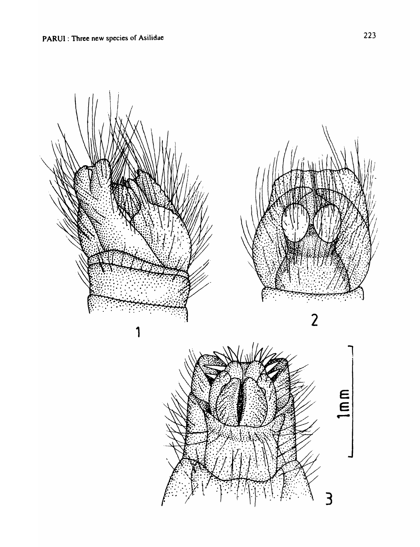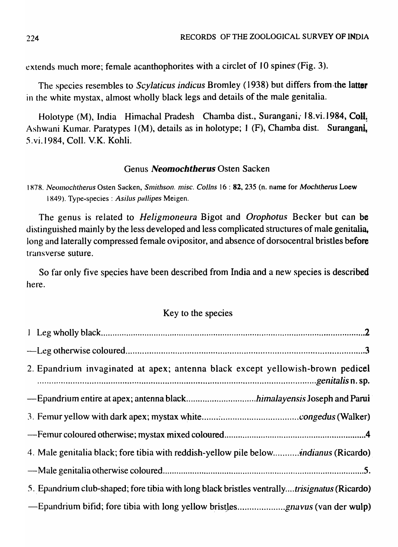extends much more; female acanthophorites with a circlet of 10 spines (Fig. 3).

The species resembles to *Scylaticus indicus* Bromley (1938) but differs from·the latter in the white mystax, almost wholly black legs and details of the male genitalia.

Holotype (M), India Himachal Pradesh Chamba dist., Surangani, 18.vi. 1984, Coll. Ashwani Kumar. Paratypes 1(M), details as in holotype; 1 (F), Chamba dist. Surangani. 5.vi.1984, CoIl. V.K. Kohli.

### Genus *Neomochtherus* Osten Sacken

The genus is related to *Heligmoneura Bigot* and *Orophotus* Becker but can be distinguished mainly by the less developed and less complicated structures of male genitalia, long and laterally compressed female ovipositor, and absence of dorsocentral bristles before transverse suture.

So far only five species have been described from India and a new species is described here.

#### Key to the species

| 2. Epandrium invaginated at apex; antenna black except yellowish-brown pedicel               |
|----------------------------------------------------------------------------------------------|
|                                                                                              |
|                                                                                              |
|                                                                                              |
|                                                                                              |
|                                                                                              |
| 5. Epandrium club-shaped; fore tibia with long black bristles ventrallytrisignatus (Ricardo) |
| -Epandrium bifid; fore tibia with long yellow bristlesgnavus (van der wulp)                  |

I X78. *NeO/17ochtherus* Osten Sacken, *Sl11ithson. 111isc. Collns* 16 : 82, 235 (n. name for *Mochtherus* Loew I H49). Type.species : *Asilus pallipes* Meigen.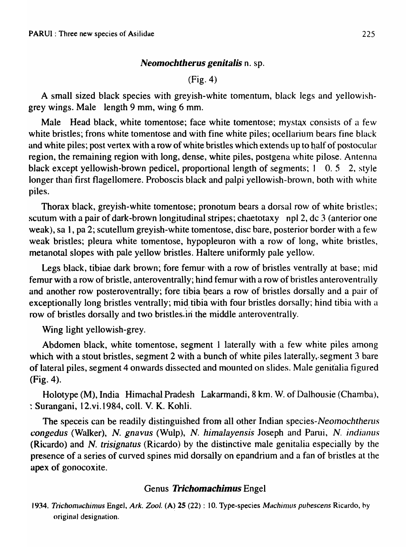#### *Neomochtherus genitalis* n. sp.

(Fig. 4)

A small sized black species with greyish-white tomentum, black legs and yellowishgrey wings. Male length 9 mm, wing 6 mm.

Male Head black, white tomentose; face white tomentose; mystax consists of a few white bristles; frons white tomentose and with fine white piles; ocellarium bears fine black and white piles; post vertex with a row of white bristles which extends up to half of postocular region, the remaining region with long, dense, white piles, postgena white pilose. Antenna black except yellowish-brown pedicel, proportional length of segments;  $1 \quad 0.5 \quad 2$ , style longer than first flagellomere. Proboscis black and palpi yellowish-brown, both with white piles.

Thorax black, greyish-white tomentose; pronotum bears a dorsal row of white bristles; scutum with a pair of dark-brown longitudinal stripes; chaetotaxy npl 2, dc 3 (anterior one weak), sa I, pa 2; scutellum greyish-white tomentose, disc bare, posterior border with a few weak bristles; pleura white tomentose, hypopleuron with a row of long, white bristles, metanotal slopes with pale yellow bristles. Haltere uniformly pale yellow.

Legs black, tibiae dark brown; fore femur with a row of bristles ventrally at base; mid femur with a row of bristle, anteroventrally; hind femur with a row of bristles anteroventrally and another row posteroventrally; fore tibia bears a row of bristles dorsally and a pair of exceptionally long bristles ventrally; mid tibia with four bristles dorsally; hind tibia with a row of bristles dorsally and two bristles.in the middle anteroventrally.

Wing light yellowish-grey.

Abdomen black, white tomentose, segment 1 laterally with a few white piles among which with a stout bristles, segment 2 with a bunch of white piles laterally, segment 3 bare of lateral piles, segment 4 onwards dissected and mounted on slides. Male genitalia figured (Fig. 4).

Holotype (M), India Himachal Pradesh Lakarmandi, 8 km. W. of Dalhousie (Chamba), : Surangani, 12.vi.1984, colI. V. K. Kohli.

The speceis can be readily distinguished from all other Indian species-*Neomochtherus congedus* (Walker), *N. gnavus* (Wulp), *N. himalayensis* Joseph and Parui, *N. indianus* (Ricardo) and *N. trisignatus* (Ricardo) by the distinctive male genitalia especially by the presence of a series of curved spines mid dorsally on epandrium and a fan of bristles at the apex of gonocoxite.

#### Genus *Trichomachimus* Engel

1934. Trichomachimus Engel, *Ark. Zool.* (A) 25 (22) : 10. Type-species *Machimus pubescens* Ricardo, by original designation.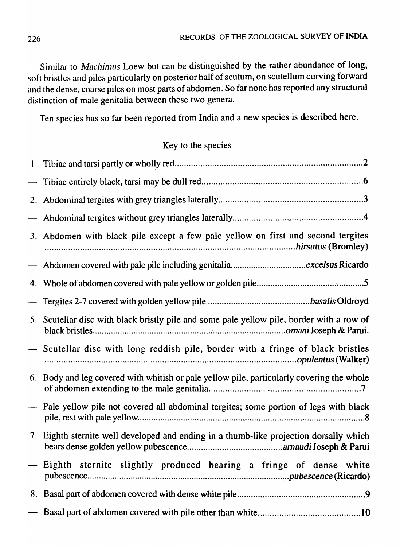Similar to *Machimus* Loew but can be distinguished by the rather abundance of long, soft bristles and piles particularly on posterior half of scutum, on scutellum curving forward and the dense, coarse piles on most parts of abdomen. So far none has reported any structural distinction of male genitalia between these two genera.

Ten species has so far been reported from India and a new species is described here.

# Key to the species

| $\mathbf{L}$ |                                                                                           |
|--------------|-------------------------------------------------------------------------------------------|
|              |                                                                                           |
|              |                                                                                           |
|              |                                                                                           |
|              | 3. Abdomen with black pile except a few pale yellow on first and second tergites          |
|              |                                                                                           |
| 4.           |                                                                                           |
|              |                                                                                           |
|              | 5. Scutellar disc with black bristly pile and some pale yellow pile, border with a row of |
|              | - Scutellar disc with long reddish pile, border with a fringe of black bristles           |
|              | 6. Body and leg covered with whitish or pale yellow pile, particularly covering the whole |
|              | — Pale yellow pile not covered all abdominal tergites; some portion of legs with black    |
|              | 7 Eighth sternite well developed and ending in a thumb-like projection dorsally which     |
|              | - Eighth sternite slightly produced bearing a fringe of dense white                       |
|              |                                                                                           |
|              |                                                                                           |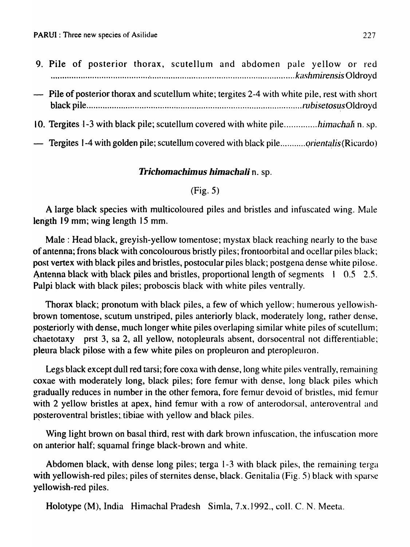| 9. Pile of posterior thorax, scutellum and abdomen pale yellow or red                         |
|-----------------------------------------------------------------------------------------------|
| - Pile of posterior thorax and scutellum white; tergites 2-4 with white pile, rest with short |
|                                                                                               |
|                                                                                               |

### *Trichomachimus himachali* n. sp.

(Fig. 5)

A large black species with multicoloured piles and bristles and infuscated wing. Male length 19 mm; wing length 15 mm.

Male: Head black, greyish-yellow tomentose; mystax black reaching nearly to the base of antenna; frons black with concolourous bristly piles; frontoorbital and ocellar piles black; post vertex with black piles and bristles, postocular piles black; postgena dense white pilose. Antenna black with black piles and bristles, proportional length of segments  $\pm 0.5$  2.5. Palpi black with black piles; proboscis biack with white piles ventrally.

Thorax black.; pronotum with black piles, a few of which yellow; humerous yellowishbrown tomentose, scutum unstriped, piles anteriorly black, moderately long, rather dense, posteriorly with dense, much longer white piles overlaping similar white piles of scutellum; chaetotaxy prst 3, sa 2, all yellow, notopleurals absent, dorsocentral not differentiable; pleura black pilose with a few white piles on propleuron and pteropleuron.

Legs black except dull red tarsi; fore coxa with dense, long white piles ventrally, remaining coxae with moderately long, black piles; fore femur with dense, long black piles which gradually reduces in number in the other femora, fore femur devoid of bristles, mid femur with 2 yellow bristles at apex, hind femur with a row of anterodorsal, anteroventral and posteroventral bristles; tibiae with yellow and black piles.

Wing light brown on basal third, rest with dark brown infuscation, the infuscation more on anterior half; squamal fringe black-brown and white.

Abdomen black, with dense long piles; terga 1-3 with black piles, the remaining terga with yellowish-red piles; piles of sternites dense, black. Genitalia (Fig. 5) black with sparse yellowish-red piles.

Holotype (M), India Himachal Pradesh Simla, 7.x.1992., coIl. C. N. Meeta.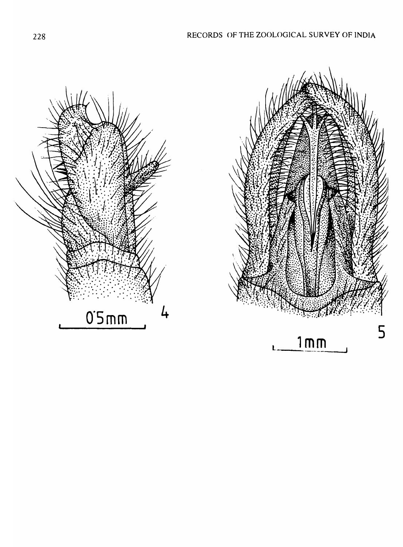